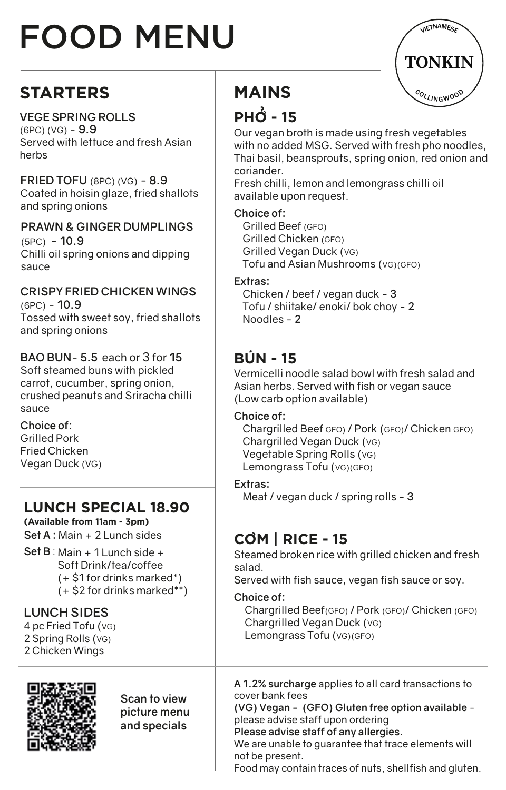# FOOD MENU

## **STARTERS**

#### **VEGE SPRING ROLLS**

(6PC) (VG) - **9.9** Served with lettuce and fresh Asian herbs

**FRIED TOFU** (8PC) (VG) - **8.9** Coated in hoisin glaze, fried shallots and spring onions

**PRAWN & GINGER DUMPLINGS** (5PC) - **10.9** Chilli oil spring onions and dipping sauce

#### **CRISPY FRIED CHICKEN WINGS**  (6PC) - **10.9**

Tossed with sweet soy, fried shallots and spring onions

#### **BAO BUN**- **5.5** each or 3 for **15**

Soft steamed buns with pickled carrot, cucumber, spring onion, crushed peanuts and Sriracha chilli sauce

**Choice of:**  Grilled Pork Fried Chicken Vegan Duck (VG)

## **LUNCH SPECIAL 18.90**

**(Available from 11am - 3pm) Set A :** Main + 2 Lunch sides

**Set B** : Main + 1 Lunch side + Soft Drink/tea/coffee (+ \$1 for drinks marked\*) (+ \$2 for drinks marked\*\*)

#### **LUNCH SIDES**

4 pc Fried Tofu (VG) 2 Spring Rolls (VG) 2 Chicken Wings



**Scan to view picture menu and specials**

# **TONKIN** COLLINGWOOD VIETNAMESE

## **MAINS**

## $PHO - 15$

Our vegan broth is made using fresh vegetables with no added MSG. Served with fresh pho noodles, Thai basil, beansprouts, spring onion, red onion and coriander.

Fresh chilli, lemon and lemongrass chilli oil available upon request.

#### **Choice of:**

 Grilled Beef (GFO) Grilled Chicken (GFO) Grilled Vegan Duck (VG) Tofu and Asian Mushrooms (VG)(GFO)

#### **Extras:**

 Chicken / beef / vegan duck - **3** Tofu / shiitake/ enoki/ bok choy - **2** Noodles - **2**

### **BÚN - 15**

Vermicelli noodle salad bowl with fresh salad and Asian herbs. Served with fish or vegan sauce (Low carb option available)

#### **Choice of:**

 Chargrilled Beef GFO) / Pork (GFO)/ Chicken GFO) Chargrilled Vegan Duck (VG) Vegetable Spring Rolls (VG) Lemongrass Tofu (VG)(GFO)

#### **Extras:**

Meat / vegan duck / spring rolls - **3**

## **COM | RICE - 15** �

Steamed broken rice with grilled chicken and fresh salad.

Served with fish sauce, vegan fish sauce or soy.

#### **Choice of:**

 Chargrilled Beef(GFO) / Pork (GFO)/ Chicken (GFO) Chargrilled Vegan Duck (VG) Lemongrass Tofu (VG)(GFO)

**A 1.2% surcharge** applies to all card transactions to cover bank fees

**(VG) Vegan - (GFO) Gluten free option available** please advise staff upon ordering

**Please advise staff of any allergies.**

We are unable to guarantee that trace elements will not be present.

Food may contain traces of nuts, shellfish and gluten.